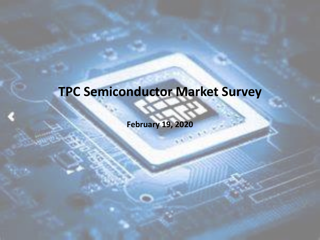### **TPC Semiconductor Market Survey**

**February 19, 2020**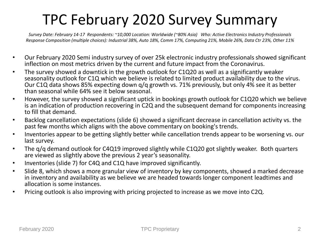### TPC February 2020 Survey Summary

*Survey Date: February 14-17 Respondents: ~10,000 Location: Worldwide (~80% Asia) Who: Active Electronics Industry Professionals Response Composition (multiple choices): Industrial 38%, Auto 18%, Comm 17%, Computing 21%, Mobile 26%, Data Ctr 23%, Other 11%*

- Our February 2020 Semi industry survey of over 25k electronic industry professionals showed significant inflection on most metrics driven by the current and future impact from the Coronavirus.
- The survey showed a downtick in the growth outlook for C1Q20 as well as a significantly weaker seasonality outlook for C1Q which we believe is related to limited product availability due to the virus. Our C1Q data shows 85% expecting down q/q growth vs. 71% previously, but only 4% see it as better than seasonal while 64% see it below seasonal.
- However, the survey showed a significant uptick in bookings growth outlook for C1Q20 which we believe is an indication of production recovering in C2Q and the subsequent demand for components increasing to fill that demand.
- Backlog cancellation expectations (slide 6) showed a significant decrease in cancellation activity vs. the past few months which aligns with the above commentary on booking's trends.
- Inventories appear to be getting slightly better while cancellation trends appear to be worsening vs. our last survey.
- The q/q demand outlook for C4Q19 improved slightly while C1Q20 got slightly weaker. Both quarters are viewed as slightly above the previous 2 year's seasonality.
- Inventories (slide 7) for C4Q and C1Q have improved significantly.
- Slide 8, which shows a more granular view of inventory by key components, showed a marked decrease in inventory and availability as we believe we are headed towards longer component leadtimes and allocation is some instances.
- Pricing outlook is also improving with pricing projected to increase as we move into C2Q.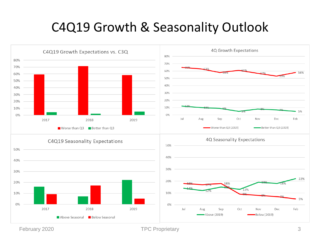#### C4Q19 Growth & Seasonality Outlook



February 2020 **TPC** Proprietary 3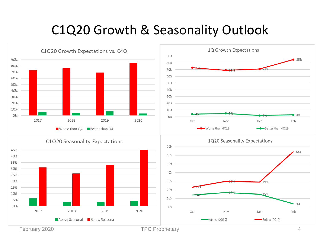#### C1Q20 Growth & Seasonality Outlook



**Below Seasonal** 





February 2020 **TPC Proprietary TPC Proprietary** 4

Above Seasonal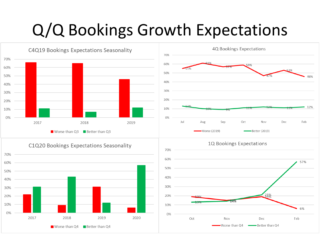## Q/Q Bookings Growth Expectations







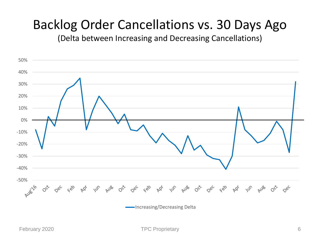#### Backlog Order Cancellations vs. 30 Days Ago

(Delta between Increasing and Decreasing Cancellations)

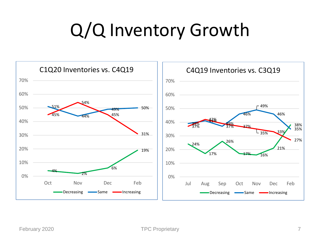# Q/Q Inventory Growth

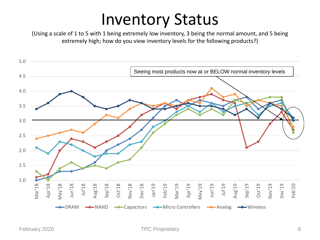## Inventory Status

(Using a scale of 1 to 5 with 1 being extremely low inventory, 3 being the normal amount, and 5 being extremely high; how do you view inventory levels for the following products?)

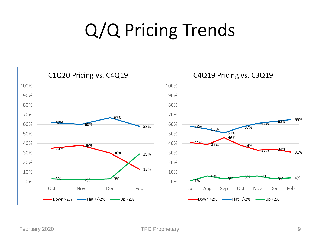# Q/Q Pricing Trends